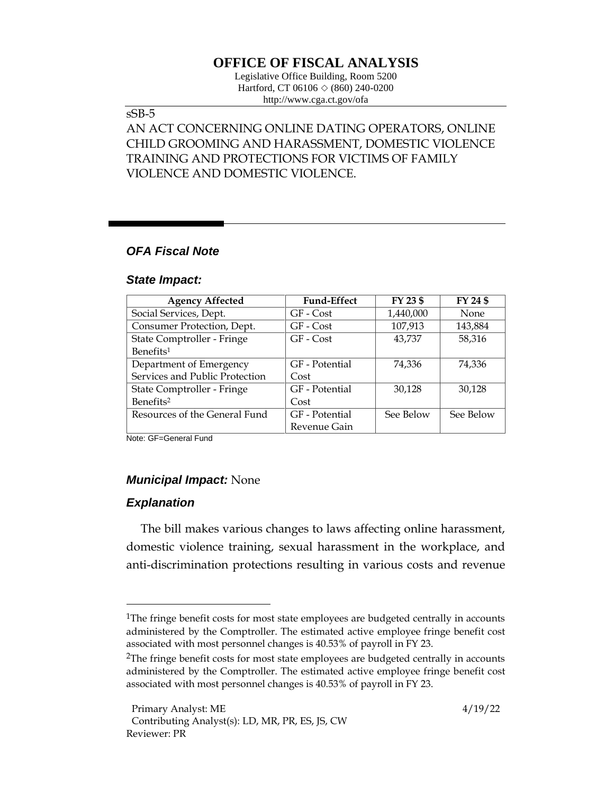# **OFFICE OF FISCAL ANALYSIS**

Legislative Office Building, Room 5200 Hartford, CT 06106  $\Diamond$  (860) 240-0200 http://www.cga.ct.gov/ofa

## sSB-5

## AN ACT CONCERNING ONLINE DATING OPERATORS, ONLINE CHILD GROOMING AND HARASSMENT, DOMESTIC VIOLENCE TRAINING AND PROTECTIONS FOR VICTIMS OF FAMILY VIOLENCE AND DOMESTIC VIOLENCE.

## *OFA Fiscal Note*

#### *State Impact:*

| <b>Agency Affected</b>         | <b>Fund-Effect</b> | FY 23 \$  | FY 24 \$    |
|--------------------------------|--------------------|-----------|-------------|
| Social Services, Dept.         | GF - Cost          | 1,440,000 | <b>None</b> |
| Consumer Protection, Dept.     | GF - Cost          | 107,913   | 143,884     |
| State Comptroller - Fringe     | $GF - Cost$        | 43,737    | 58,316      |
| Benefits <sup>1</sup>          |                    |           |             |
| Department of Emergency        | GF - Potential     | 74,336    | 74,336      |
| Services and Public Protection | Cost               |           |             |
| State Comptroller - Fringe     | GF - Potential     | 30,128    | 30,128      |
| Benefits <sup>2</sup>          | Cost               |           |             |
| Resources of the General Fund  | GF - Potential     | See Below | See Below   |
|                                | Revenue Gain       |           |             |

Note: GF=General Fund

## *Municipal Impact:* None

## *Explanation*

The bill makes various changes to laws affecting online harassment, domestic violence training, sexual harassment in the workplace, and anti-discrimination protections resulting in various costs and revenue

<sup>&</sup>lt;sup>1</sup>The fringe benefit costs for most state employees are budgeted centrally in accounts administered by the Comptroller. The estimated active employee fringe benefit cost associated with most personnel changes is 40.53% of payroll in FY 23.

 $2$ The fringe benefit costs for most state employees are budgeted centrally in accounts administered by the Comptroller. The estimated active employee fringe benefit cost associated with most personnel changes is 40.53% of payroll in FY 23.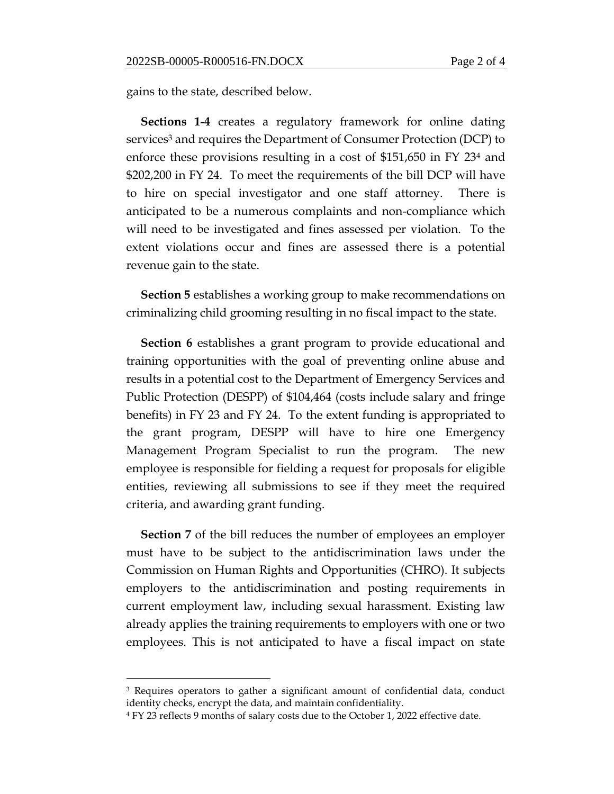gains to the state, described below.

**Sections 1-4** creates a regulatory framework for online dating services<sup>3</sup> and requires the Department of Consumer Protection (DCP) to enforce these provisions resulting in a cost of \$151,650 in FY 23<sup>4</sup> and \$202,200 in FY 24. To meet the requirements of the bill DCP will have to hire on special investigator and one staff attorney. There is anticipated to be a numerous complaints and non-compliance which will need to be investigated and fines assessed per violation. To the extent violations occur and fines are assessed there is a potential revenue gain to the state.

**Section 5** establishes a working group to make recommendations on criminalizing child grooming resulting in no fiscal impact to the state.

**Section 6** establishes a grant program to provide educational and training opportunities with the goal of preventing online abuse and results in a potential cost to the Department of Emergency Services and Public Protection (DESPP) of \$104,464 (costs include salary and fringe benefits) in FY 23 and FY 24. To the extent funding is appropriated to the grant program, DESPP will have to hire one Emergency Management Program Specialist to run the program. The new employee is responsible for fielding a request for proposals for eligible entities, reviewing all submissions to see if they meet the required criteria, and awarding grant funding.

**Section 7** of the bill reduces the number of employees an employer must have to be subject to the antidiscrimination laws under the Commission on Human Rights and Opportunities (CHRO). It subjects employers to the antidiscrimination and posting requirements in current employment law, including sexual harassment. Existing law already applies the training requirements to employers with one or two employees. This is not anticipated to have a fiscal impact on state

<sup>3</sup> Requires operators to gather a significant amount of confidential data, conduct identity checks, encrypt the data, and maintain confidentiality.

<sup>4</sup> FY 23 reflects 9 months of salary costs due to the October 1, 2022 effective date.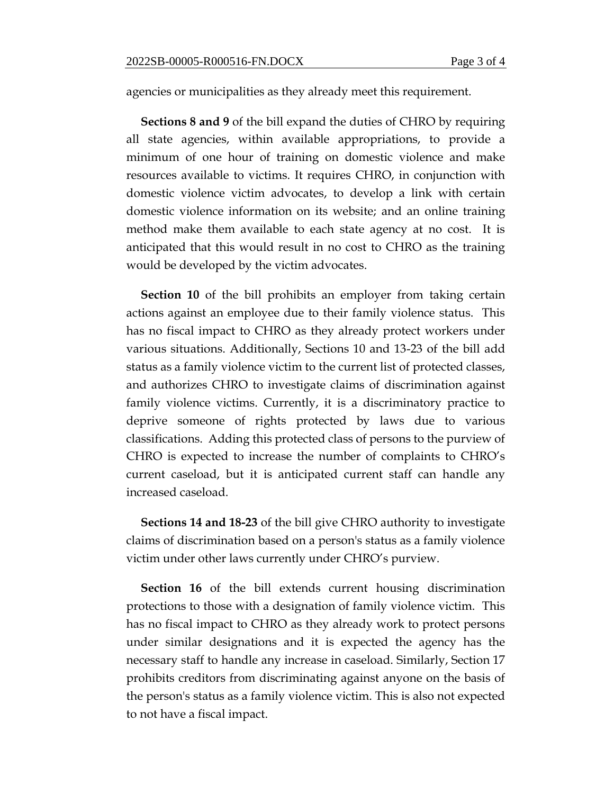agencies or municipalities as they already meet this requirement.

**Sections 8 and 9** of the bill expand the duties of CHRO by requiring all state agencies, within available appropriations, to provide a minimum of one hour of training on domestic violence and make resources available to victims. It requires CHRO, in conjunction with domestic violence victim advocates, to develop a link with certain domestic violence information on its website; and an online training method make them available to each state agency at no cost. It is anticipated that this would result in no cost to CHRO as the training would be developed by the victim advocates.

**Section 10** of the bill prohibits an employer from taking certain actions against an employee due to their family violence status. This has no fiscal impact to CHRO as they already protect workers under various situations. Additionally, Sections 10 and 13-23 of the bill add status as a family violence victim to the current list of protected classes, and authorizes CHRO to investigate claims of discrimination against family violence victims. Currently, it is a discriminatory practice to deprive someone of rights protected by laws due to various classifications. Adding this protected class of persons to the purview of CHRO is expected to increase the number of complaints to CHRO's current caseload, but it is anticipated current staff can handle any increased caseload.

**Sections 14 and 18-23** of the bill give CHRO authority to investigate claims of discrimination based on a person's status as a family violence victim under other laws currently under CHRO's purview.

**Section 16** of the bill extends current housing discrimination protections to those with a designation of family violence victim. This has no fiscal impact to CHRO as they already work to protect persons under similar designations and it is expected the agency has the necessary staff to handle any increase in caseload. Similarly, Section 17 prohibits creditors from discriminating against anyone on the basis of the person's status as a family violence victim. This is also not expected to not have a fiscal impact.